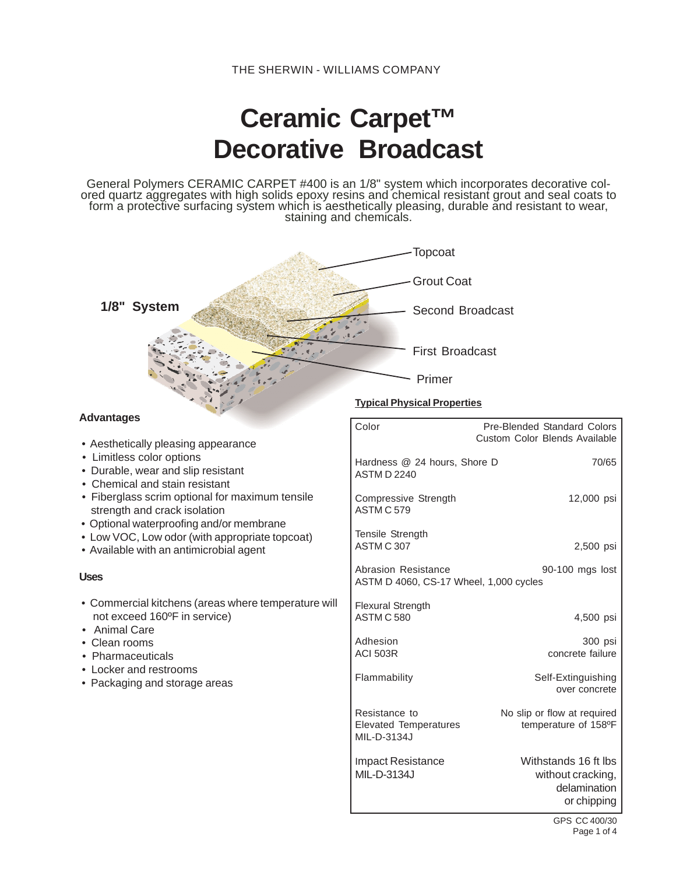# **Ceramic Carpet™ Decorative Broadcast**

General Polymers CERAMIC CARPET #400 is an 1/8" system which incorporates decorative colored quartz aggregates with high solids epoxy resins and chemical resistant grout and seal coats to form a protective surfacing system which is aesthetically pleasing, durable and resistant to wear,<br>staining and chemicals.

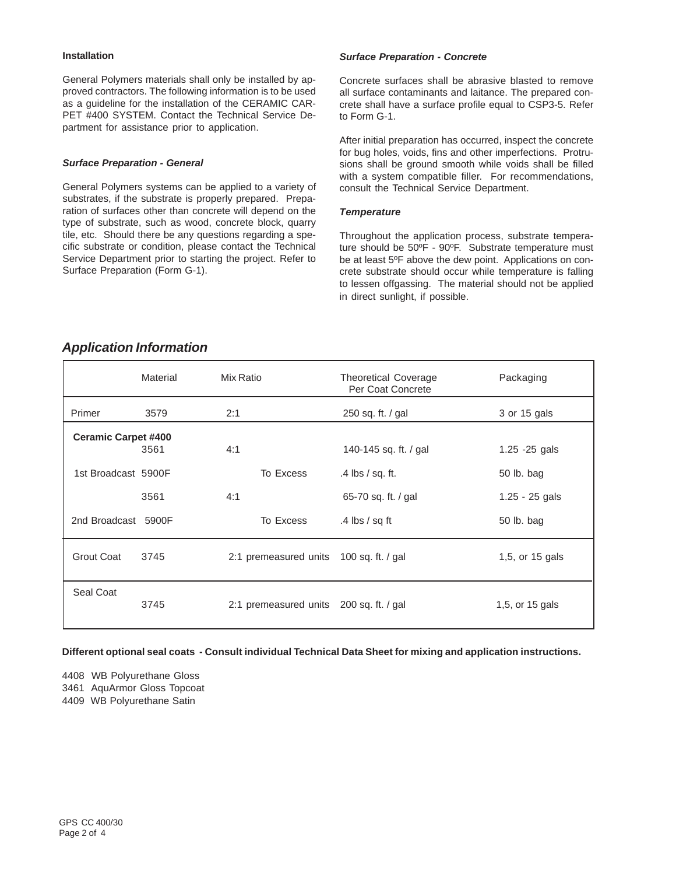#### **Installation**

General Polymers materials shall only be installed by approved contractors. The following information is to be used as a guideline for the installation of the CERAMIC CAR-PET #400 SYSTEM. Contact the Technical Service Department for assistance prior to application.

#### *Surface Preparation - General*

General Polymers systems can be applied to a variety of substrates, if the substrate is properly prepared. Preparation of surfaces other than concrete will depend on the type of substrate, such as wood, concrete block, quarry tile, etc. Should there be any questions regarding a specific substrate or condition, please contact the Technical Service Department prior to starting the project. Refer to Surface Preparation (Form G-1).

#### *Surface Preparation - Concrete*

Concrete surfaces shall be abrasive blasted to remove all surface contaminants and laitance. The prepared concrete shall have a surface profile equal to CSP3-5. Refer to Form G-1.

After initial preparation has occurred, inspect the concrete for bug holes, voids, fins and other imperfections. Protrusions shall be ground smooth while voids shall be filled with a system compatible filler. For recommendations, consult the Technical Service Department.

#### *Temperature*

Throughout the application process, substrate temperature should be 50ºF - 90ºF. Substrate temperature must be at least 5ºF above the dew point. Applications on concrete substrate should occur while temperature is falling to lessen offgassing. The material should not be applied in direct sunlight, if possible.

# *Application Information*

|                            | Material | Mix Ratio                               | <b>Theoretical Coverage</b><br>Per Coat Concrete | Packaging        |
|----------------------------|----------|-----------------------------------------|--------------------------------------------------|------------------|
| Primer                     | 3579     | 2:1                                     | 250 sq. ft. / gal                                | 3 or 15 gals     |
| <b>Ceramic Carpet #400</b> | 3561     | 4:1                                     | 140-145 sq. ft. / gal                            | $1.25 - 25$ gals |
| 1st Broadcast 5900F        |          | To Excess                               | $.4$ lbs $/$ sq. ft.                             | 50 lb. bag       |
|                            | 3561     | 4:1                                     | 65-70 sq. ft. / gal                              | $1.25 - 25$ gals |
| 2nd Broadcast 5900F        |          | To Excess                               | .4 lbs $/$ sq ft                                 | 50 lb. bag       |
| <b>Grout Coat</b>          | 3745     | 2:1 premeasured units 100 sq. ft. / gal |                                                  | 1,5, or 15 gals  |
| Seal Coat                  | 3745     | 2:1 premeasured units 200 sq. ft. / gal |                                                  | 1,5, or 15 gals  |

**Different optional seal coats - Consult individual Technical Data Sheet for mixing and application instructions.**

4408 WB Polyurethane Gloss 3461 AquArmor Gloss Topcoat 4409 WB Polyurethane Satin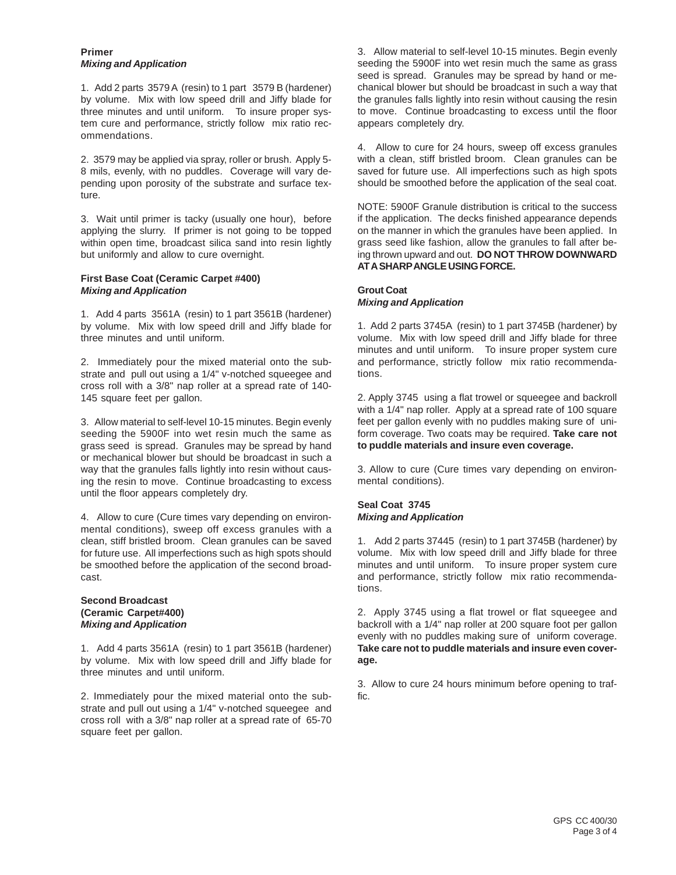# **Primer** *Mixing and Application*

1. Add 2 parts 3579 A (resin) to 1 part 3579 B (hardener) by volume. Mix with low speed drill and Jiffy blade for three minutes and until uniform. To insure proper system cure and performance, strictly follow mix ratio recommendations.

2. 3579 may be applied via spray, roller or brush. Apply 5- 8 mils, evenly, with no puddles. Coverage will vary depending upon porosity of the substrate and surface texture.

3. Wait until primer is tacky (usually one hour), before applying the slurry. If primer is not going to be topped within open time, broadcast silica sand into resin lightly but uniformly and allow to cure overnight.

# **First Base Coat (Ceramic Carpet #400)** *Mixing and Application*

1. Add 4 parts 3561A (resin) to 1 part 3561B (hardener) by volume. Mix with low speed drill and Jiffy blade for three minutes and until uniform.

2. Immediately pour the mixed material onto the substrate and pull out using a 1/4" v-notched squeegee and cross roll with a 3/8" nap roller at a spread rate of 140- 145 square feet per gallon.

3. Allow material to self-level 10-15 minutes. Begin evenly seeding the 5900F into wet resin much the same as grass seed is spread. Granules may be spread by hand or mechanical blower but should be broadcast in such a way that the granules falls lightly into resin without causing the resin to move. Continue broadcasting to excess until the floor appears completely dry.

4. Allow to cure (Cure times vary depending on environmental conditions), sweep off excess granules with a clean, stiff bristled broom. Clean granules can be saved for future use. All imperfections such as high spots should be smoothed before the application of the second broadcast.

# **Second Broadcast (Ceramic Carpet#400)** *Mixing and Application*

1. Add 4 parts 3561A (resin) to 1 part 3561B (hardener) by volume. Mix with low speed drill and Jiffy blade for three minutes and until uniform.

2. Immediately pour the mixed material onto the substrate and pull out using a 1/4" v-notched squeegee and cross roll with a 3/8" nap roller at a spread rate of 65-70 square feet per gallon.

3. Allow material to self-level 10-15 minutes. Begin evenly seeding the 5900F into wet resin much the same as grass seed is spread. Granules may be spread by hand or mechanical blower but should be broadcast in such a way that the granules falls lightly into resin without causing the resin to move. Continue broadcasting to excess until the floor appears completely dry.

4. Allow to cure for 24 hours, sweep off excess granules with a clean, stiff bristled broom. Clean granules can be saved for future use. All imperfections such as high spots should be smoothed before the application of the seal coat.

NOTE: 5900F Granule distribution is critical to the success if the application. The decks finished appearance depends on the manner in which the granules have been applied. In grass seed like fashion, allow the granules to fall after being thrown upward and out. **DO NOT THROW DOWNWARD AT A SHARP ANGLE USING FORCE.**

# **Grout Coat** *Mixing and Application*

1. Add 2 parts 3745A (resin) to 1 part 3745B (hardener) by volume. Mix with low speed drill and Jiffy blade for three minutes and until uniform. To insure proper system cure and performance, strictly follow mix ratio recommendations.

2. Apply 3745 using a flat trowel or squeegee and backroll with a 1/4" nap roller. Apply at a spread rate of 100 square feet per gallon evenly with no puddles making sure of uniform coverage. Two coats may be required. **Take care not to puddle materials and insure even coverage.**

3. Allow to cure (Cure times vary depending on environmental conditions).

# **Seal Coat 3745** *Mixing and Application*

1. Add 2 parts 37445 (resin) to 1 part 3745B (hardener) by volume. Mix with low speed drill and Jiffy blade for three minutes and until uniform. To insure proper system cure and performance, strictly follow mix ratio recommendations.

2. Apply 3745 using a flat trowel or flat squeegee and backroll with a 1/4" nap roller at 200 square foot per gallon evenly with no puddles making sure of uniform coverage. **Take care not to puddle materials and insure even coverage.**

3. Allow to cure 24 hours minimum before opening to traffic.